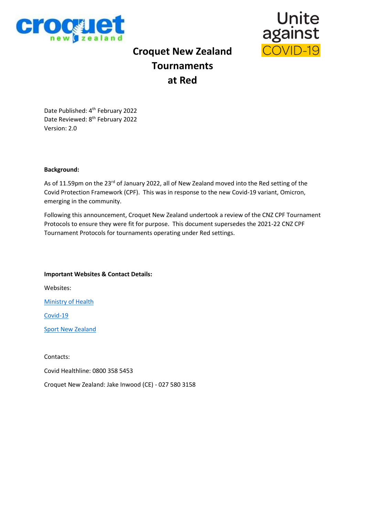



# **Croquet New Zealand Tournaments at Red**

Date Published: 4th February 2022 Date Reviewed: 8<sup>th</sup> February 2022 Version: 2.0

### **Background:**

As of 11.59pm on the 23<sup>rd</sup> of January 2022, all of New Zealand moved into the Red setting of the Covid Protection Framework (CPF). This was in response to the new Covid-19 variant, Omicron, emerging in the community.

Following this announcement, Croquet New Zealand undertook a review of the CNZ CPF Tournament Protocols to ensure they were fit for purpose. This document supersedes the 2021-22 CNZ CPF Tournament Protocols for tournaments operating under Red settings.

**Important Websites & Contact Details:** Websites: [Ministry of Health](https://www.health.govt.nz/) [Covid-19](https://covid19.govt.nz/) [Sport New Zealand](https://sportnz.org.nz/covid-19-response/covid-19-protection-framework/)

Contacts:

Covid Healthline: 0800 358 5453

Croquet New Zealand: Jake Inwood (CE) - 027 580 3158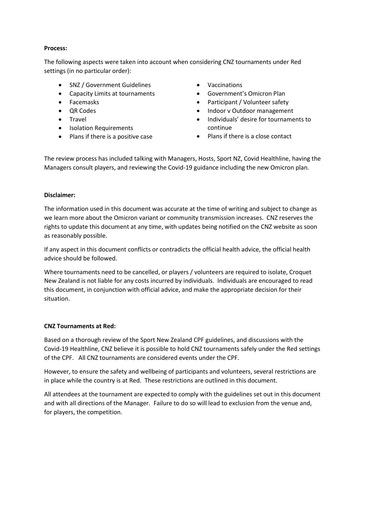## **Process:**

The following aspects were taken into account when considering CNZ tournaments under Red settings (in no particular order):

- SNZ / Government Guidelines
- Capacity Limits at tournaments
- Facemasks
- QR Codes
- Travel
- Isolation Requirements
- Plans if there is a positive case
- Vaccinations
- Government's Omicron Plan
- Participant / Volunteer safety
- Indoor v Outdoor management
- Individuals' desire for tournaments to continue
- Plans if there is a close contact

The review process has included talking with Managers, Hosts, Sport NZ, Covid Healthline, having the Managers consult players, and reviewing the Covid-19 guidance including the new Omicron plan.

# **Disclaimer:**

The information used in this document was accurate at the time of writing and subject to change as we learn more about the Omicron variant or community transmission increases. CNZ reserves the rights to update this document at any time, with updates being notified on the CNZ website as soon as reasonably possible.

If any aspect in this document conflicts or contradicts the official health advice, the official health advice should be followed.

Where tournaments need to be cancelled, or players / volunteers are required to isolate, Croquet New Zealand is not liable for any costs incurred by individuals. Individuals are encouraged to read this document, in conjunction with official advice, and make the appropriate decision for their situation.

### **CNZ Tournaments at Red:**

Based on a thorough review of the Sport New Zealand CPF guidelines, and discussions with the Covid-19 Healthline, CNZ believe it is possible to hold CNZ tournaments safely under the Red settings of the CPF. All CNZ tournaments are considered events under the CPF.

However, to ensure the safety and wellbeing of participants and volunteers, several restrictions are in place while the country is at Red. These restrictions are outlined in this document.

All attendees at the tournament are expected to comply with the guidelines set out in this document and with all directions of the Manager. Failure to do so will lead to exclusion from the venue and, for players, the competition.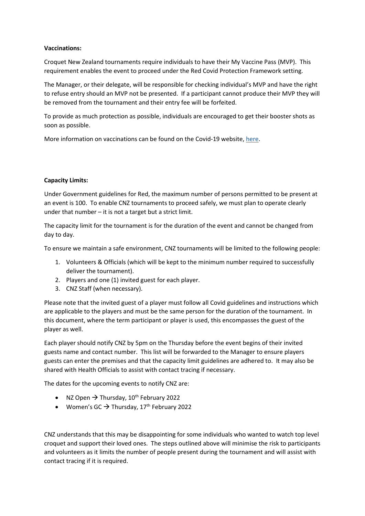## **Vaccinations:**

Croquet New Zealand tournaments require individuals to have their My Vaccine Pass (MVP). This requirement enables the event to proceed under the Red Covid Protection Framework setting.

The Manager, or their delegate, will be responsible for checking individual's MVP and have the right to refuse entry should an MVP not be presented. If a participant cannot produce their MVP they will be removed from the tournament and their entry fee will be forfeited.

To provide as much protection as possible, individuals are encouraged to get their booster shots as soon as possible.

More information on vaccinations can be found on the Covid-19 website, [here.](https://covid19.govt.nz/covid-19-vaccines/)

## **Capacity Limits:**

Under Government guidelines for Red, the maximum number of persons permitted to be present at an event is 100. To enable CNZ tournaments to proceed safely, we must plan to operate clearly under that number – it is not a target but a strict limit.

The capacity limit for the tournament is for the duration of the event and cannot be changed from day to day.

To ensure we maintain a safe environment, CNZ tournaments will be limited to the following people:

- 1. Volunteers & Officials (which will be kept to the minimum number required to successfully deliver the tournament).
- 2. Players and one (1) invited guest for each player.
- 3. CNZ Staff (when necessary).

Please note that the invited guest of a player must follow all Covid guidelines and instructions which are applicable to the players and must be the same person for the duration of the tournament. In this document, where the term participant or player is used, this encompasses the guest of the player as well.

Each player should notify CNZ by 5pm on the Thursday before the event begins of their invited guests name and contact number. This list will be forwarded to the Manager to ensure players guests can enter the premises and that the capacity limit guidelines are adhered to. It may also be shared with Health Officials to assist with contact tracing if necessary.

The dates for the upcoming events to notify CNZ are:

- NZ Open  $\rightarrow$  Thursday, 10<sup>th</sup> February 2022
- Women's GC  $\rightarrow$  Thursday, 17<sup>th</sup> February 2022

CNZ understands that this may be disappointing for some individuals who wanted to watch top level croquet and support their loved ones. The steps outlined above will minimise the risk to participants and volunteers as it limits the number of people present during the tournament and will assist with contact tracing if it is required.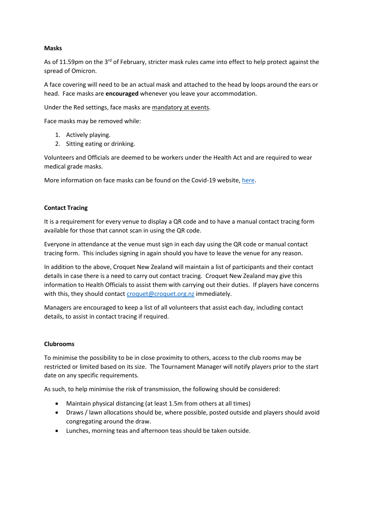## **Masks**

As of 11.59pm on the 3<sup>rd</sup> of February, stricter mask rules came into effect to help protect against the spread of Omicron.

A face covering will need to be an actual mask and attached to the head by loops around the ears or head. Face masks are **encouraged** whenever you leave your accommodation.

Under the Red settings, face masks are mandatory at events.

Face masks may be removed while:

- 1. Actively playing.
- 2. Sitting eating or drinking.

Volunteers and Officials are deemed to be workers under the Health Act and are required to wear medical grade masks.

More information on face masks can be found on the Covid-19 website[, here.](https://covid19.govt.nz/prepare-and-stay-safe/keep-up-healthy-habits/wear-a-face-mask/)

## **Contact Tracing**

It is a requirement for every venue to display a QR code and to have a manual contact tracing form available for those that cannot scan in using the QR code.

Everyone in attendance at the venue must sign in each day using the QR code or manual contact tracing form. This includes signing in again should you have to leave the venue for any reason.

In addition to the above, Croquet New Zealand will maintain a list of participants and their contact details in case there is a need to carry out contact tracing. Croquet New Zealand may give this information to Health Officials to assist them with carrying out their duties. If players have concerns with this, they should contac[t croquet@croquet.org.nz](mailto:croquet@croquet.org.nz) immediately.

Managers are encouraged to keep a list of all volunteers that assist each day, including contact details, to assist in contact tracing if required.

### **Clubrooms**

To minimise the possibility to be in close proximity to others, access to the club rooms may be restricted or limited based on its size. The Tournament Manager will notify players prior to the start date on any specific requirements.

As such, to help minimise the risk of transmission, the following should be considered:

- Maintain physical distancing (at least 1.5m from others at all times)
- Draws / lawn allocations should be, where possible, posted outside and players should avoid congregating around the draw.
- Lunches, morning teas and afternoon teas should be taken outside.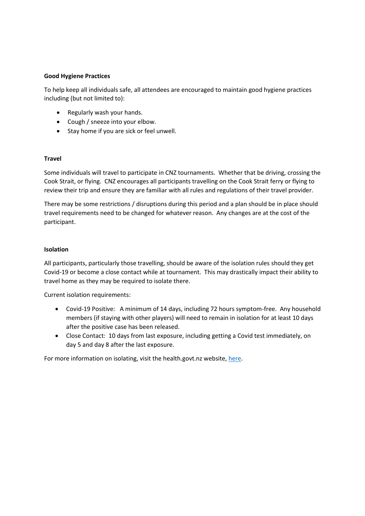## **Good Hygiene Practices**

To help keep all individuals safe, all attendees are encouraged to maintain good hygiene practices including (but not limited to):

- Regularly wash your hands.
- Cough / sneeze into your elbow.
- Stay home if you are sick or feel unwell.

### **Travel**

Some individuals will travel to participate in CNZ tournaments. Whether that be driving, crossing the Cook Strait, or flying. CNZ encourages all participants travelling on the Cook Strait ferry or flying to review their trip and ensure they are familiar with all rules and regulations of their travel provider.

There may be some restrictions / disruptions during this period and a plan should be in place should travel requirements need to be changed for whatever reason. Any changes are at the cost of the participant.

### **Isolation**

All participants, particularly those travelling, should be aware of the isolation rules should they get Covid-19 or become a close contact while at tournament. This may drastically impact their ability to travel home as they may be required to isolate there.

Current isolation requirements:

- Covid-19 Positive: A minimum of 14 days, including 72 hours symptom-free. Any household members (if staying with other players) will need to remain in isolation for at least 10 days after the positive case has been released.
- Close Contact: 10 days from last exposure, including getting a Covid test immediately, on day 5 and day 8 after the last exposure.

For more information on isolating, visit the health.govt.nz website[, here.](https://www.health.govt.nz/our-work/diseases-and-conditions/covid-19-novel-coronavirus/covid-19-health-advice-public/advice-people-covid-19)